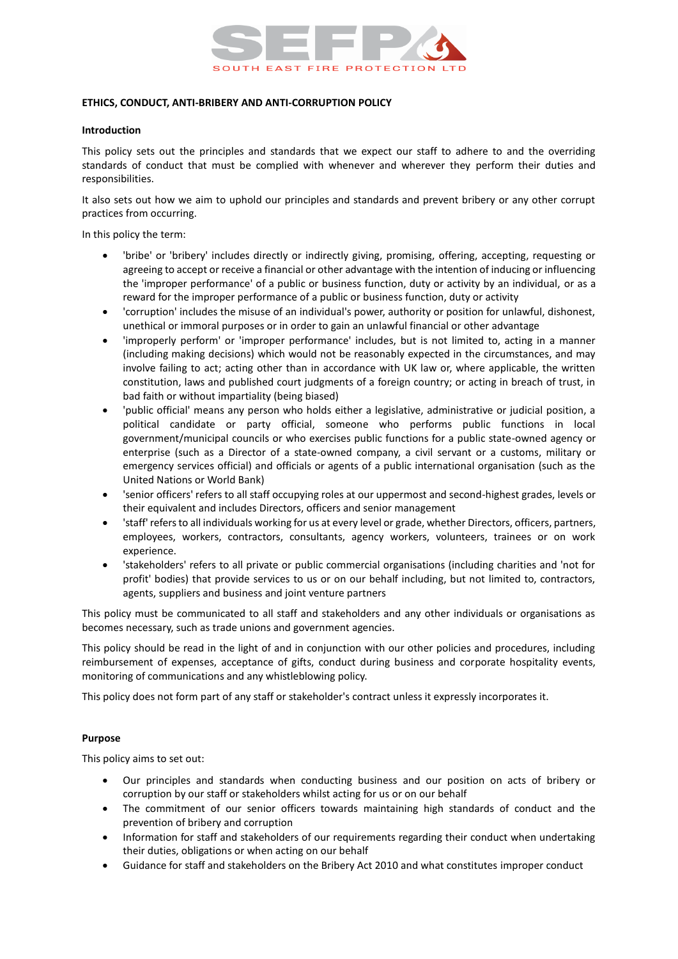

## **ETHICS, CONDUCT, ANTI-BRIBERY AND ANTI-CORRUPTION POLICY**

#### **Introduction**

This policy sets out the principles and standards that we expect our staff to adhere to and the overriding standards of conduct that must be complied with whenever and wherever they perform their duties and responsibilities.

It also sets out how we aim to uphold our principles and standards and prevent bribery or any other corrupt practices from occurring.

In this policy the term:

- 'bribe' or 'bribery' includes directly or indirectly giving, promising, offering, accepting, requesting or agreeing to accept or receive a financial or other advantage with the intention of inducing or influencing the 'improper performance' of a public or business function, duty or activity by an individual, or as a reward for the improper performance of a public or business function, duty or activity
- 'corruption' includes the misuse of an individual's power, authority or position for unlawful, dishonest, unethical or immoral purposes or in order to gain an unlawful financial or other advantage
- 'improperly perform' or 'improper performance' includes, but is not limited to, acting in a manner (including making decisions) which would not be reasonably expected in the circumstances, and may involve failing to act; acting other than in accordance with UK law or, where applicable, the written constitution, laws and published court judgments of a foreign country; or acting in breach of trust, in bad faith or without impartiality (being biased)
- 'public official' means any person who holds either a legislative, administrative or judicial position, a political candidate or party official, someone who performs public functions in local government/municipal councils or who exercises public functions for a public state-owned agency or enterprise (such as a Director of a state-owned company, a civil servant or a customs, military or emergency services official) and officials or agents of a public international organisation (such as the United Nations or World Bank)
- 'senior officers' refers to all staff occupying roles at our uppermost and second-highest grades, levels or their equivalent and includes Directors, officers and senior management
- 'staff' refers to all individuals working for us at every level or grade, whether Directors, officers, partners, employees, workers, contractors, consultants, agency workers, volunteers, trainees or on work experience.
- 'stakeholders' refers to all private or public commercial organisations (including charities and 'not for profit' bodies) that provide services to us or on our behalf including, but not limited to, contractors, agents, suppliers and business and joint venture partners

This policy must be communicated to all staff and stakeholders and any other individuals or organisations as becomes necessary, such as trade unions and government agencies.

This policy should be read in the light of and in conjunction with our other policies and procedures, including reimbursement of expenses, acceptance of gifts, conduct during business and corporate hospitality events, monitoring of communications and any whistleblowing policy.

This policy does not form part of any staff or stakeholder's contract unless it expressly incorporates it.

#### **Purpose**

This policy aims to set out:

- Our principles and standards when conducting business and our position on acts of bribery or corruption by our staff or stakeholders whilst acting for us or on our behalf
- The commitment of our senior officers towards maintaining high standards of conduct and the prevention of bribery and corruption
- Information for staff and stakeholders of our requirements regarding their conduct when undertaking their duties, obligations or when acting on our behalf
- Guidance for staff and stakeholders on the Bribery Act 2010 and what constitutes improper conduct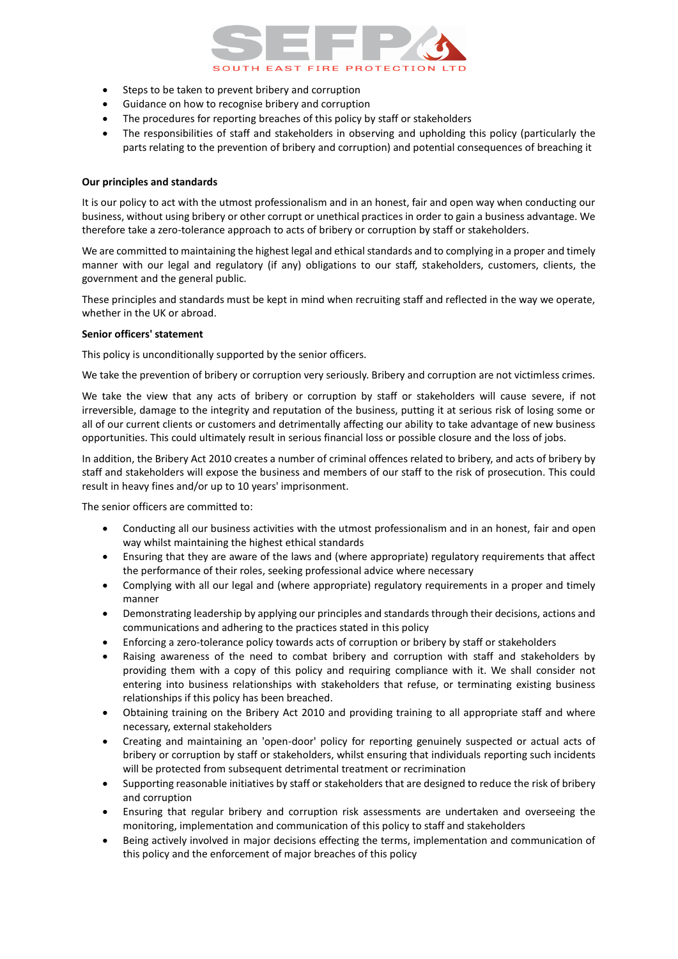

- Steps to be taken to prevent bribery and corruption
- Guidance on how to recognise bribery and corruption
- The procedures for reporting breaches of this policy by staff or stakeholders
- The responsibilities of staff and stakeholders in observing and upholding this policy (particularly the parts relating to the prevention of bribery and corruption) and potential consequences of breaching it

## **Our principles and standards**

It is our policy to act with the utmost professionalism and in an honest, fair and open way when conducting our business, without using bribery or other corrupt or unethical practices in order to gain a business advantage. We therefore take a zero-tolerance approach to acts of bribery or corruption by staff or stakeholders.

We are committed to maintaining the highest legal and ethical standards and to complying in a proper and timely manner with our legal and regulatory (if any) obligations to our staff, stakeholders, customers, clients, the government and the general public.

These principles and standards must be kept in mind when recruiting staff and reflected in the way we operate, whether in the UK or abroad.

## **Senior officers' statement**

This policy is unconditionally supported by the senior officers.

We take the prevention of bribery or corruption very seriously. Bribery and corruption are not victimless crimes.

We take the view that any acts of bribery or corruption by staff or stakeholders will cause severe, if not irreversible, damage to the integrity and reputation of the business, putting it at serious risk of losing some or all of our current clients or customers and detrimentally affecting our ability to take advantage of new business opportunities. This could ultimately result in serious financial loss or possible closure and the loss of jobs.

In addition, the Bribery Act 2010 creates a number of criminal offences related to bribery, and acts of bribery by staff and stakeholders will expose the business and members of our staff to the risk of prosecution. This could result in heavy fines and/or up to 10 years' imprisonment.

The senior officers are committed to:

- Conducting all our business activities with the utmost professionalism and in an honest, fair and open way whilst maintaining the highest ethical standards
- Ensuring that they are aware of the laws and (where appropriate) regulatory requirements that affect the performance of their roles, seeking professional advice where necessary
- Complying with all our legal and (where appropriate) regulatory requirements in a proper and timely manner
- Demonstrating leadership by applying our principles and standards through their decisions, actions and communications and adhering to the practices stated in this policy
- Enforcing a zero-tolerance policy towards acts of corruption or bribery by staff or stakeholders
- Raising awareness of the need to combat bribery and corruption with staff and stakeholders by providing them with a copy of this policy and requiring compliance with it. We shall consider not entering into business relationships with stakeholders that refuse, or terminating existing business relationships if this policy has been breached.
- Obtaining training on the Bribery Act 2010 and providing training to all appropriate staff and where necessary, external stakeholders
- Creating and maintaining an 'open-door' policy for reporting genuinely suspected or actual acts of bribery or corruption by staff or stakeholders, whilst ensuring that individuals reporting such incidents will be protected from subsequent detrimental treatment or recrimination
- Supporting reasonable initiatives by staff or stakeholders that are designed to reduce the risk of bribery and corruption
- Ensuring that regular bribery and corruption risk assessments are undertaken and overseeing the monitoring, implementation and communication of this policy to staff and stakeholders
- Being actively involved in major decisions effecting the terms, implementation and communication of this policy and the enforcement of major breaches of this policy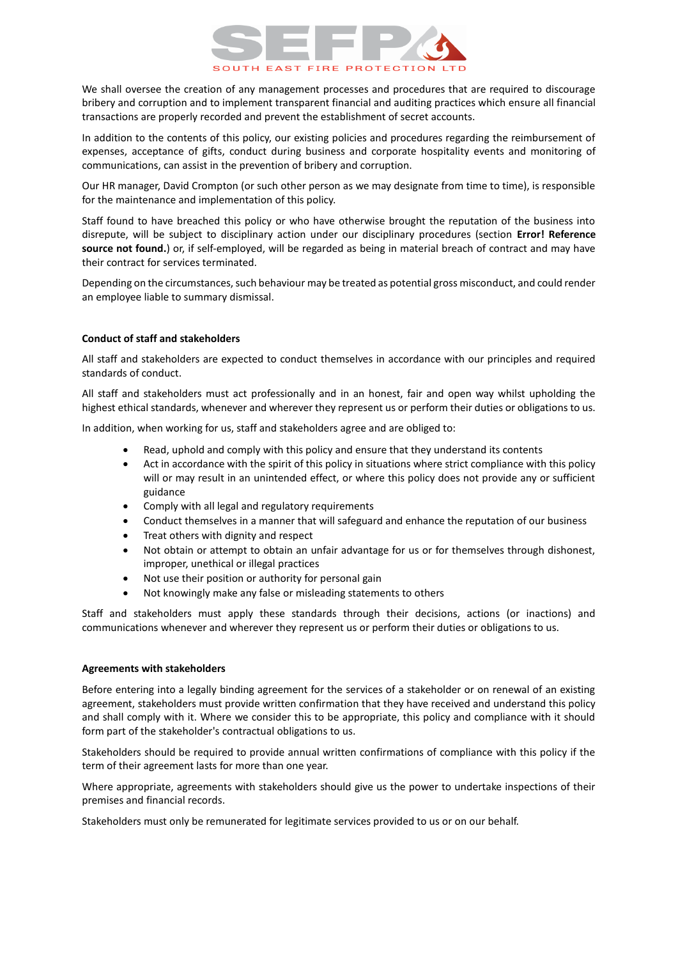# **UTH EAST FIRE PROTECTIO**

We shall oversee the creation of any management processes and procedures that are required to discourage bribery and corruption and to implement transparent financial and auditing practices which ensure all financial transactions are properly recorded and prevent the establishment of secret accounts.

In addition to the contents of this policy, our existing policies and procedures regarding the reimbursement of expenses, acceptance of gifts, conduct during business and corporate hospitality events and monitoring of communications, can assist in the prevention of bribery and corruption.

Our HR manager, David Crompton (or such other person as we may designate from time to time), is responsible for the maintenance and implementation of this policy.

Staff found to have breached this policy or who have otherwise brought the reputation of the business into disrepute, will be subject to disciplinary action under our disciplinary procedures (section **Error! Reference source not found.**) or, if self-employed, will be regarded as being in material breach of contract and may have their contract for services terminated.

Depending on the circumstances, such behaviour may be treated as potential gross misconduct, and could render an employee liable to summary dismissal.

# **Conduct of staff and stakeholders**

All staff and stakeholders are expected to conduct themselves in accordance with our principles and required standards of conduct.

All staff and stakeholders must act professionally and in an honest, fair and open way whilst upholding the highest ethical standards, whenever and wherever they represent us or perform their duties or obligations to us.

In addition, when working for us, staff and stakeholders agree and are obliged to:

- Read, uphold and comply with this policy and ensure that they understand its contents
- Act in accordance with the spirit of this policy in situations where strict compliance with this policy will or may result in an unintended effect, or where this policy does not provide any or sufficient guidance
- Comply with all legal and regulatory requirements
- Conduct themselves in a manner that will safeguard and enhance the reputation of our business
- Treat others with dignity and respect
- Not obtain or attempt to obtain an unfair advantage for us or for themselves through dishonest, improper, unethical or illegal practices
- Not use their position or authority for personal gain
- Not knowingly make any false or misleading statements to others

Staff and stakeholders must apply these standards through their decisions, actions (or inactions) and communications whenever and wherever they represent us or perform their duties or obligations to us.

#### **Agreements with stakeholders**

Before entering into a legally binding agreement for the services of a stakeholder or on renewal of an existing agreement, stakeholders must provide written confirmation that they have received and understand this policy and shall comply with it. Where we consider this to be appropriate, this policy and compliance with it should form part of the stakeholder's contractual obligations to us.

Stakeholders should be required to provide annual written confirmations of compliance with this policy if the term of their agreement lasts for more than one year.

Where appropriate, agreements with stakeholders should give us the power to undertake inspections of their premises and financial records.

Stakeholders must only be remunerated for legitimate services provided to us or on our behalf.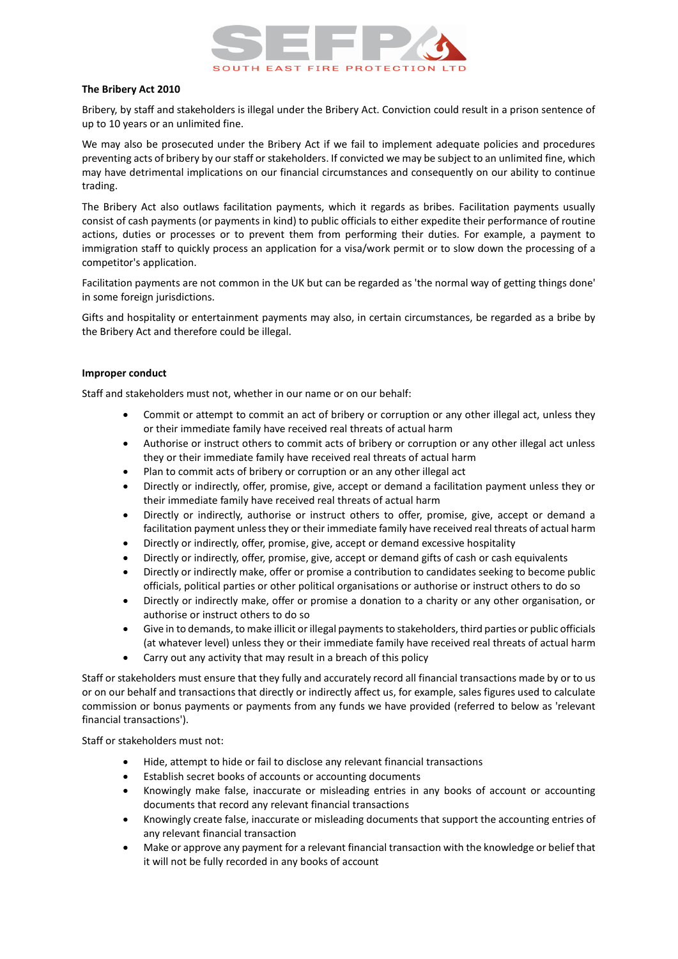

## **The Bribery Act 2010**

Bribery, by staff and stakeholders is illegal under the Bribery Act. Conviction could result in a prison sentence of up to 10 years or an unlimited fine.

We may also be prosecuted under the Bribery Act if we fail to implement adequate policies and procedures preventing acts of bribery by our staff or stakeholders. If convicted we may be subject to an unlimited fine, which may have detrimental implications on our financial circumstances and consequently on our ability to continue trading.

The Bribery Act also outlaws facilitation payments, which it regards as bribes. Facilitation payments usually consist of cash payments (or payments in kind) to public officials to either expedite their performance of routine actions, duties or processes or to prevent them from performing their duties. For example, a payment to immigration staff to quickly process an application for a visa/work permit or to slow down the processing of a competitor's application.

Facilitation payments are not common in the UK but can be regarded as 'the normal way of getting things done' in some foreign jurisdictions.

Gifts and hospitality or entertainment payments may also, in certain circumstances, be regarded as a bribe by the Bribery Act and therefore could be illegal.

## **Improper conduct**

Staff and stakeholders must not, whether in our name or on our behalf:

- Commit or attempt to commit an act of bribery or corruption or any other illegal act, unless they or their immediate family have received real threats of actual harm
- Authorise or instruct others to commit acts of bribery or corruption or any other illegal act unless they or their immediate family have received real threats of actual harm
- Plan to commit acts of bribery or corruption or an any other illegal act
- Directly or indirectly, offer, promise, give, accept or demand a facilitation payment unless they or their immediate family have received real threats of actual harm
- Directly or indirectly, authorise or instruct others to offer, promise, give, accept or demand a facilitation payment unless they or their immediate family have received real threats of actual harm
- Directly or indirectly, offer, promise, give, accept or demand excessive hospitality
- Directly or indirectly, offer, promise, give, accept or demand gifts of cash or cash equivalents
- Directly or indirectly make, offer or promise a contribution to candidates seeking to become public officials, political parties or other political organisations or authorise or instruct others to do so
- Directly or indirectly make, offer or promise a donation to a charity or any other organisation, or authorise or instruct others to do so
- Give in to demands, to make illicit or illegal payments to stakeholders, third parties or public officials (at whatever level) unless they or their immediate family have received real threats of actual harm
- Carry out any activity that may result in a breach of this policy

Staff or stakeholders must ensure that they fully and accurately record all financial transactions made by or to us or on our behalf and transactions that directly or indirectly affect us, for example, sales figures used to calculate commission or bonus payments or payments from any funds we have provided (referred to below as 'relevant financial transactions').

Staff or stakeholders must not:

- Hide, attempt to hide or fail to disclose any relevant financial transactions
- Establish secret books of accounts or accounting documents
- Knowingly make false, inaccurate or misleading entries in any books of account or accounting documents that record any relevant financial transactions
- Knowingly create false, inaccurate or misleading documents that support the accounting entries of any relevant financial transaction
- Make or approve any payment for a relevant financial transaction with the knowledge or belief that it will not be fully recorded in any books of account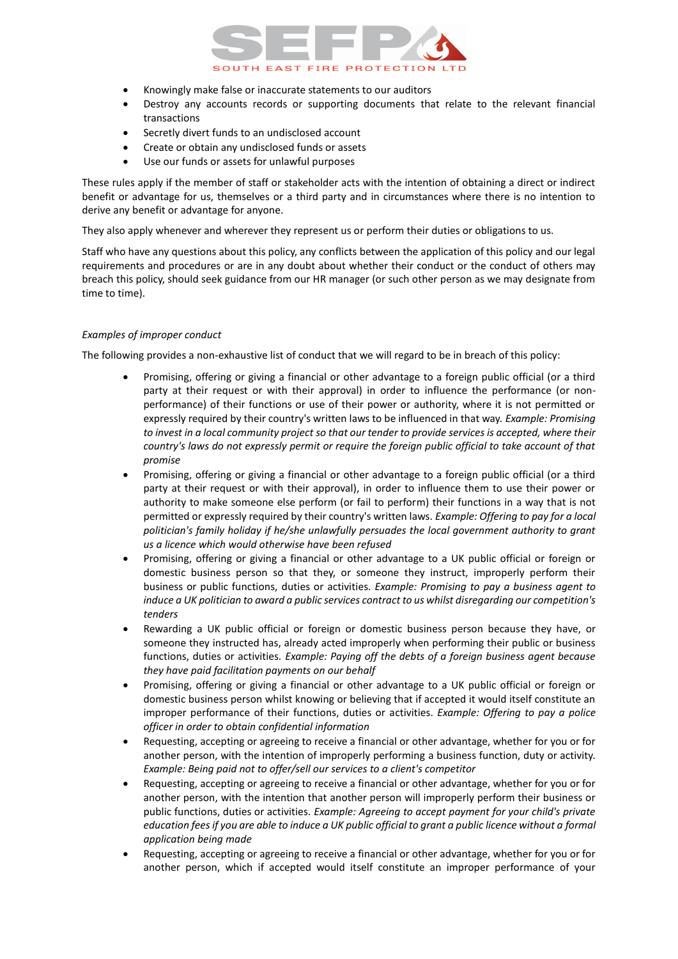# SOUTH EAST FIRE PROTECTI

- Knowingly make false or inaccurate statements to our auditors
- Destroy any accounts records or supporting documents that relate to the relevant financial transactions
- Secretly divert funds to an undisclosed account
- Create or obtain any undisclosed funds or assets
- Use our funds or assets for unlawful purposes

These rules apply if the member of staff or stakeholder acts with the intention of obtaining a direct or indirect benefit or advantage for us, themselves or a third party and in circumstances where there is no intention to derive any benefit or advantage for anyone.

They also apply whenever and wherever they represent us or perform their duties or obligations to us.

Staff who have any questions about this policy, any conflicts between the application of this policy and our legal requirements and procedures or are in any doubt about whether their conduct or the conduct of others may breach this policy, should seek guidance from our HR manager (or such other person as we may designate from time to time).

## *Examples of improper conduct*

The following provides a non-exhaustive list of conduct that we will regard to be in breach of this policy:

- Promising, offering or giving a financial or other advantage to a foreign public official (or a third party at their request or with their approval) in order to influence the performance (or nonperformance) of their functions or use of their power or authority, where it is not permitted or expressly required by their country's written laws to be influenced in that way. *Example: Promising to invest in a local community project so that our tender to provide services is accepted, where their country's laws do not expressly permit or require the foreign public official to take account of that promise*
- Promising, offering or giving a financial or other advantage to a foreign public official (or a third party at their request or with their approval), in order to influence them to use their power or authority to make someone else perform (or fail to perform) their functions in a way that is not permitted or expressly required by their country's written laws. *Example: Offering to pay for a local politician's family holiday if he/she unlawfully persuades the local government authority to grant us a licence which would otherwise have been refused*
- Promising, offering or giving a financial or other advantage to a UK public official or foreign or domestic business person so that they, or someone they instruct, improperly perform their business or public functions, duties or activities. *Example: Promising to pay a business agent to induce a UK politician to award a public services contract to us whilst disregarding our competition's tenders*
- Rewarding a UK public official or foreign or domestic business person because they have, or someone they instructed has, already acted improperly when performing their public or business functions, duties or activities. *Example: Paying off the debts of a foreign business agent because they have paid facilitation payments on our behalf*
- Promising, offering or giving a financial or other advantage to a UK public official or foreign or domestic business person whilst knowing or believing that if accepted it would itself constitute an improper performance of their functions, duties or activities. *Example: Offering to pay a police officer in order to obtain confidential information*
- Requesting, accepting or agreeing to receive a financial or other advantage, whether for you or for another person, with the intention of improperly performing a business function, duty or activity. *Example: Being paid not to offer/sell our services to a client's competitor*
- Requesting, accepting or agreeing to receive a financial or other advantage, whether for you or for another person, with the intention that another person will improperly perform their business or public functions, duties or activities. *Example: Agreeing to accept payment for your child's private education fees if you are able to induce a UK public official to grant a public licence without a formal application being made*
- Requesting, accepting or agreeing to receive a financial or other advantage, whether for you or for another person, which if accepted would itself constitute an improper performance of your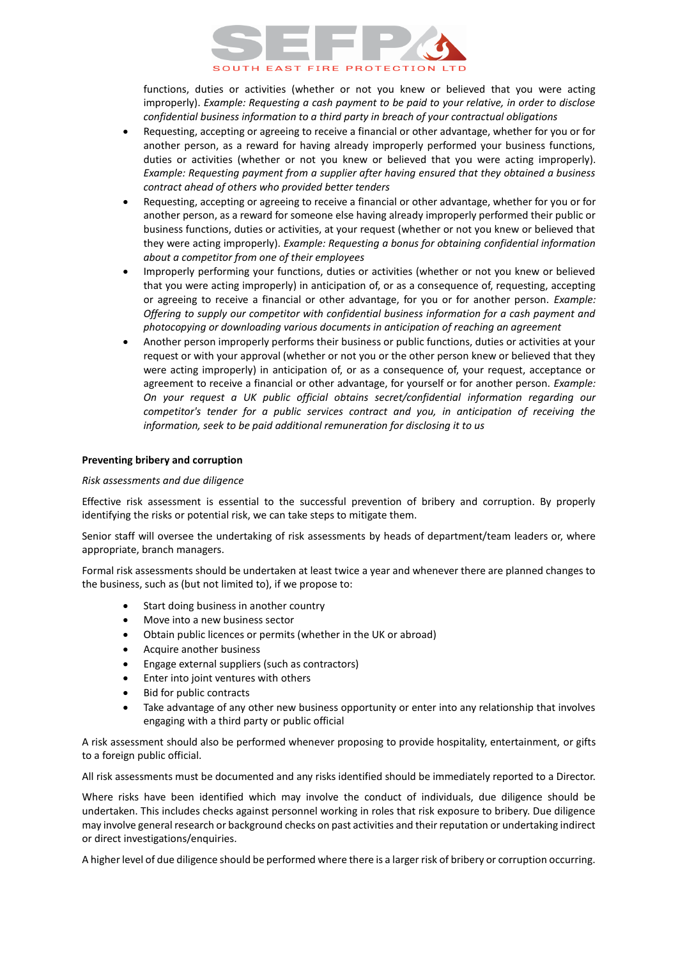

functions, duties or activities (whether or not you knew or believed that you were acting improperly). *Example: Requesting a cash payment to be paid to your relative, in order to disclose confidential business information to a third party in breach of your contractual obligations*

- Requesting, accepting or agreeing to receive a financial or other advantage, whether for you or for another person, as a reward for having already improperly performed your business functions, duties or activities (whether or not you knew or believed that you were acting improperly). *Example: Requesting payment from a supplier after having ensured that they obtained a business contract ahead of others who provided better tenders*
- Requesting, accepting or agreeing to receive a financial or other advantage, whether for you or for another person, as a reward for someone else having already improperly performed their public or business functions, duties or activities, at your request (whether or not you knew or believed that they were acting improperly). *Example: Requesting a bonus for obtaining confidential information about a competitor from one of their employees*
- Improperly performing your functions, duties or activities (whether or not you knew or believed that you were acting improperly) in anticipation of, or as a consequence of, requesting, accepting or agreeing to receive a financial or other advantage, for you or for another person. *Example: Offering to supply our competitor with confidential business information for a cash payment and photocopying or downloading various documents in anticipation of reaching an agreement*
- Another person improperly performs their business or public functions, duties or activities at your request or with your approval (whether or not you or the other person knew or believed that they were acting improperly) in anticipation of, or as a consequence of, your request, acceptance or agreement to receive a financial or other advantage, for yourself or for another person. *Example: On your request a UK public official obtains secret/confidential information regarding our competitor's tender for a public services contract and you, in anticipation of receiving the information, seek to be paid additional remuneration for disclosing it to us*

## **Preventing bribery and corruption**

#### *Risk assessments and due diligence*

Effective risk assessment is essential to the successful prevention of bribery and corruption. By properly identifying the risks or potential risk, we can take steps to mitigate them.

Senior staff will oversee the undertaking of risk assessments by heads of department/team leaders or, where appropriate, branch managers.

Formal risk assessments should be undertaken at least twice a year and whenever there are planned changes to the business, such as (but not limited to), if we propose to:

- Start doing business in another country
- Move into a new business sector
- Obtain public licences or permits (whether in the UK or abroad)
- Acquire another business
- Engage external suppliers (such as contractors)
- Enter into joint ventures with others
- Bid for public contracts
- Take advantage of any other new business opportunity or enter into any relationship that involves engaging with a third party or public official

A risk assessment should also be performed whenever proposing to provide hospitality, entertainment, or gifts to a foreign public official.

All risk assessments must be documented and any risks identified should be immediately reported to a Director.

Where risks have been identified which may involve the conduct of individuals, due diligence should be undertaken. This includes checks against personnel working in roles that risk exposure to bribery. Due diligence may involve general research or background checks on past activities and their reputation or undertaking indirect or direct investigations/enquiries.

A higher level of due diligence should be performed where there is a larger risk of bribery or corruption occurring.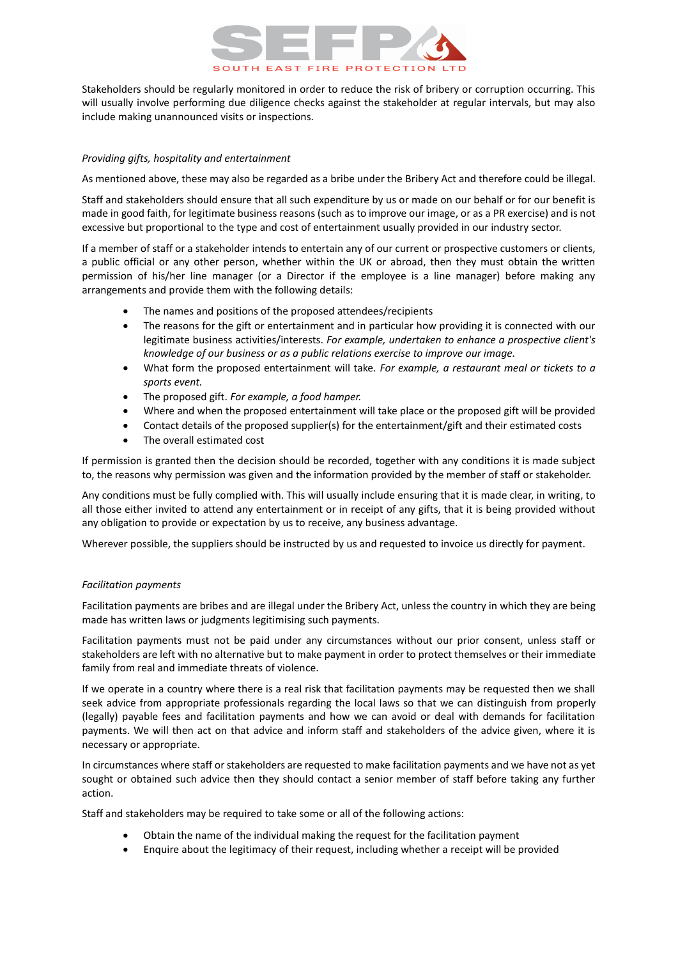

Stakeholders should be regularly monitored in order to reduce the risk of bribery or corruption occurring. This will usually involve performing due diligence checks against the stakeholder at regular intervals, but may also include making unannounced visits or inspections.

## *Providing gifts, hospitality and entertainment*

As mentioned above, these may also be regarded as a bribe under the Bribery Act and therefore could be illegal.

Staff and stakeholders should ensure that all such expenditure by us or made on our behalf or for our benefit is made in good faith, for legitimate business reasons (such as to improve our image, or as a PR exercise) and is not excessive but proportional to the type and cost of entertainment usually provided in our industry sector.

If a member of staff or a stakeholder intends to entertain any of our current or prospective customers or clients, a public official or any other person, whether within the UK or abroad, then they must obtain the written permission of his/her line manager (or a Director if the employee is a line manager) before making any arrangements and provide them with the following details:

- The names and positions of the proposed attendees/recipients
- The reasons for the gift or entertainment and in particular how providing it is connected with our legitimate business activities/interests. *For example, undertaken to enhance a prospective client's knowledge of our business or as a public relations exercise to improve our image.*
- What form the proposed entertainment will take. *For example, a restaurant meal or tickets to a sports event.*
- The proposed gift. *For example, a food hamper.*
- Where and when the proposed entertainment will take place or the proposed gift will be provided
- Contact details of the proposed supplier(s) for the entertainment/gift and their estimated costs
- The overall estimated cost

If permission is granted then the decision should be recorded, together with any conditions it is made subject to, the reasons why permission was given and the information provided by the member of staff or stakeholder.

Any conditions must be fully complied with. This will usually include ensuring that it is made clear, in writing, to all those either invited to attend any entertainment or in receipt of any gifts, that it is being provided without any obligation to provide or expectation by us to receive, any business advantage.

Wherever possible, the suppliers should be instructed by us and requested to invoice us directly for payment.

#### *Facilitation payments*

Facilitation payments are bribes and are illegal under the Bribery Act, unless the country in which they are being made has written laws or judgments legitimising such payments.

Facilitation payments must not be paid under any circumstances without our prior consent, unless staff or stakeholders are left with no alternative but to make payment in order to protect themselves or their immediate family from real and immediate threats of violence.

If we operate in a country where there is a real risk that facilitation payments may be requested then we shall seek advice from appropriate professionals regarding the local laws so that we can distinguish from properly (legally) payable fees and facilitation payments and how we can avoid or deal with demands for facilitation payments. We will then act on that advice and inform staff and stakeholders of the advice given, where it is necessary or appropriate.

In circumstances where staff or stakeholders are requested to make facilitation payments and we have not as yet sought or obtained such advice then they should contact a senior member of staff before taking any further action.

Staff and stakeholders may be required to take some or all of the following actions:

- Obtain the name of the individual making the request for the facilitation payment
- Enquire about the legitimacy of their request, including whether a receipt will be provided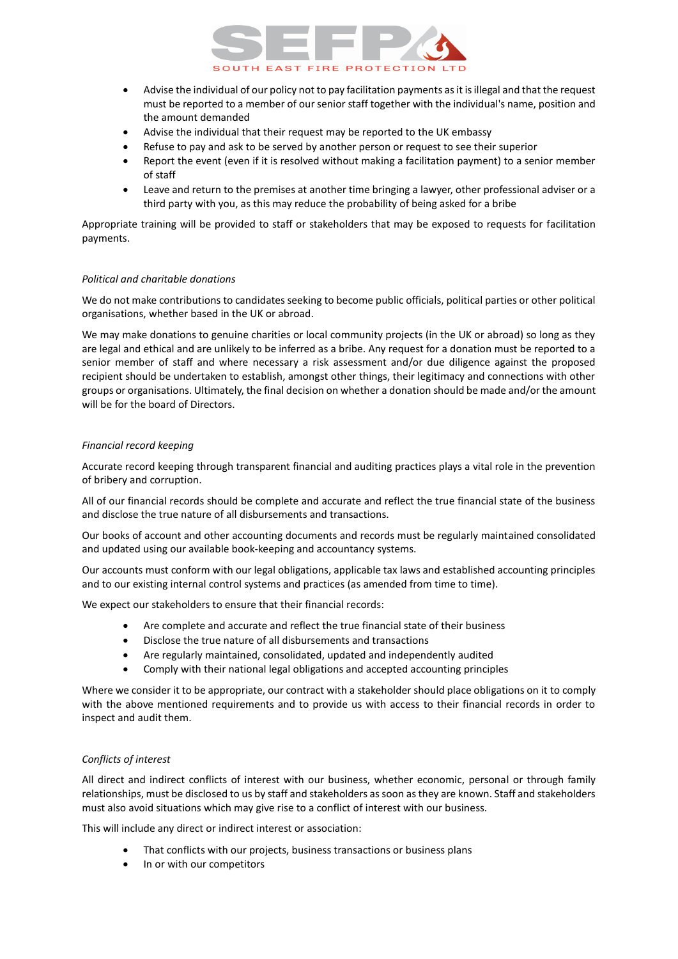# SOUTH EAST FIRE PROTECTION

- Advise the individual of our policy not to pay facilitation payments as it is illegal and that the request must be reported to a member of our senior staff together with the individual's name, position and the amount demanded
- Advise the individual that their request may be reported to the UK embassy
- Refuse to pay and ask to be served by another person or request to see their superior
- Report the event (even if it is resolved without making a facilitation payment) to a senior member of staff
- Leave and return to the premises at another time bringing a lawyer, other professional adviser or a third party with you, as this may reduce the probability of being asked for a bribe

Appropriate training will be provided to staff or stakeholders that may be exposed to requests for facilitation payments.

# *Political and charitable donations*

We do not make contributions to candidates seeking to become public officials, political parties or other political organisations, whether based in the UK or abroad.

We may make donations to genuine charities or local community projects (in the UK or abroad) so long as they are legal and ethical and are unlikely to be inferred as a bribe. Any request for a donation must be reported to a senior member of staff and where necessary a risk assessment and/or due diligence against the proposed recipient should be undertaken to establish, amongst other things, their legitimacy and connections with other groups or organisations. Ultimately, the final decision on whether a donation should be made and/or the amount will be for the board of Directors.

# *Financial record keeping*

Accurate record keeping through transparent financial and auditing practices plays a vital role in the prevention of bribery and corruption.

All of our financial records should be complete and accurate and reflect the true financial state of the business and disclose the true nature of all disbursements and transactions.

Our books of account and other accounting documents and records must be regularly maintained consolidated and updated using our available book-keeping and accountancy systems.

Our accounts must conform with our legal obligations, applicable tax laws and established accounting principles and to our existing internal control systems and practices (as amended from time to time).

We expect our stakeholders to ensure that their financial records:

- Are complete and accurate and reflect the true financial state of their business
- Disclose the true nature of all disbursements and transactions
- Are regularly maintained, consolidated, updated and independently audited
- Comply with their national legal obligations and accepted accounting principles

Where we consider it to be appropriate, our contract with a stakeholder should place obligations on it to comply with the above mentioned requirements and to provide us with access to their financial records in order to inspect and audit them.

# *Conflicts of interest*

All direct and indirect conflicts of interest with our business, whether economic, personal or through family relationships, must be disclosed to us by staff and stakeholders as soon as they are known. Staff and stakeholders must also avoid situations which may give rise to a conflict of interest with our business.

This will include any direct or indirect interest or association:

- That conflicts with our projects, business transactions or business plans
- In or with our competitors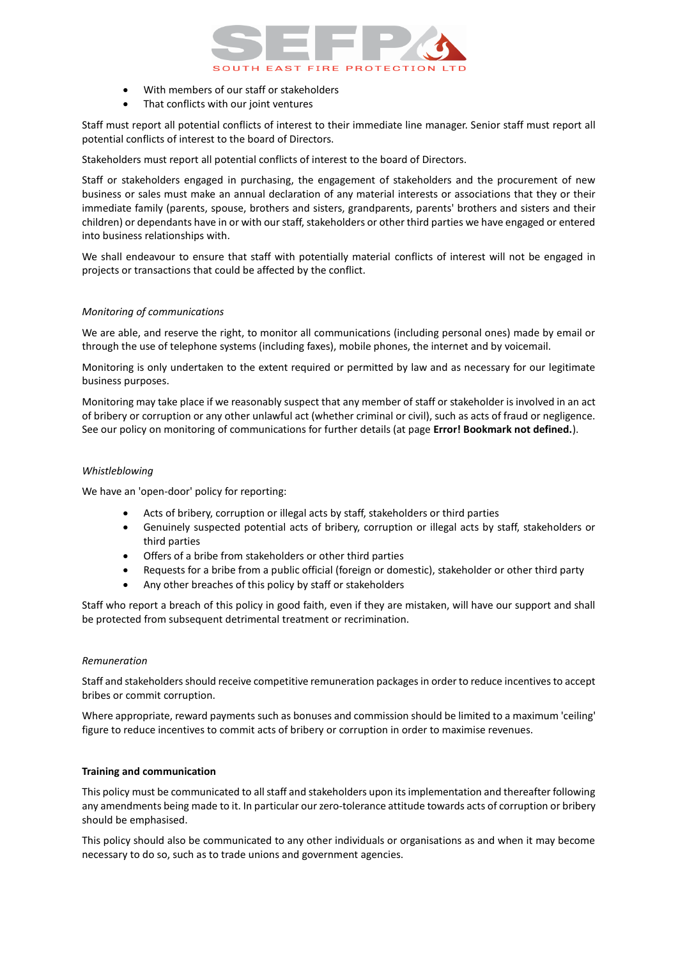

- With members of our staff or stakeholders
- That conflicts with our joint ventures

Staff must report all potential conflicts of interest to their immediate line manager. Senior staff must report all potential conflicts of interest to the board of Directors.

Stakeholders must report all potential conflicts of interest to the board of Directors.

Staff or stakeholders engaged in purchasing, the engagement of stakeholders and the procurement of new business or sales must make an annual declaration of any material interests or associations that they or their immediate family (parents, spouse, brothers and sisters, grandparents, parents' brothers and sisters and their children) or dependants have in or with our staff, stakeholders or other third parties we have engaged or entered into business relationships with.

We shall endeavour to ensure that staff with potentially material conflicts of interest will not be engaged in projects or transactions that could be affected by the conflict.

# *Monitoring of communications*

We are able, and reserve the right, to monitor all communications (including personal ones) made by email or through the use of telephone systems (including faxes), mobile phones, the internet and by voicemail.

Monitoring is only undertaken to the extent required or permitted by law and as necessary for our legitimate business purposes.

Monitoring may take place if we reasonably suspect that any member of staff or stakeholder is involved in an act of bribery or corruption or any other unlawful act (whether criminal or civil), such as acts of fraud or negligence. See our policy on monitoring of communications for further details (at page **Error! Bookmark not defined.**).

# *Whistleblowing*

We have an 'open-door' policy for reporting:

- Acts of bribery, corruption or illegal acts by staff, stakeholders or third parties
- Genuinely suspected potential acts of bribery, corruption or illegal acts by staff, stakeholders or third parties
- Offers of a bribe from stakeholders or other third parties
- Requests for a bribe from a public official (foreign or domestic), stakeholder or other third party
- Any other breaches of this policy by staff or stakeholders

Staff who report a breach of this policy in good faith, even if they are mistaken, will have our support and shall be protected from subsequent detrimental treatment or recrimination.

# *Remuneration*

Staff and stakeholders should receive competitive remuneration packages in order to reduce incentives to accept bribes or commit corruption.

Where appropriate, reward payments such as bonuses and commission should be limited to a maximum 'ceiling' figure to reduce incentives to commit acts of bribery or corruption in order to maximise revenues.

# **Training and communication**

This policy must be communicated to all staff and stakeholders upon its implementation and thereafter following any amendments being made to it. In particular our zero-tolerance attitude towards acts of corruption or bribery should be emphasised.

This policy should also be communicated to any other individuals or organisations as and when it may become necessary to do so, such as to trade unions and government agencies.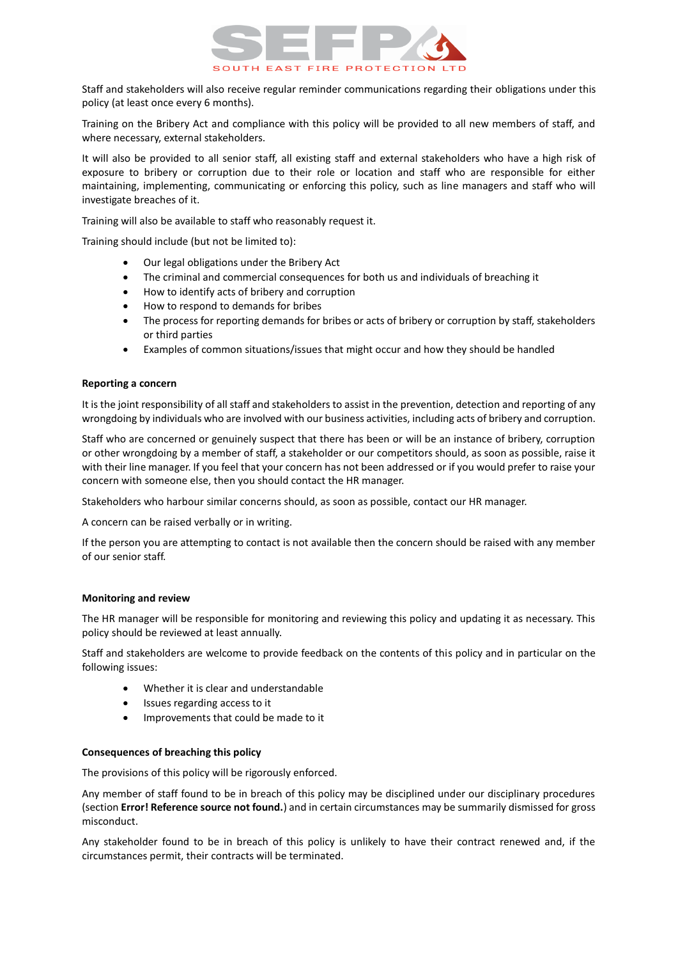

Staff and stakeholders will also receive regular reminder communications regarding their obligations under this policy (at least once every 6 months).

Training on the Bribery Act and compliance with this policy will be provided to all new members of staff, and where necessary, external stakeholders.

It will also be provided to all senior staff, all existing staff and external stakeholders who have a high risk of exposure to bribery or corruption due to their role or location and staff who are responsible for either maintaining, implementing, communicating or enforcing this policy, such as line managers and staff who will investigate breaches of it.

Training will also be available to staff who reasonably request it.

Training should include (but not be limited to):

- Our legal obligations under the Bribery Act
- The criminal and commercial consequences for both us and individuals of breaching it
- How to identify acts of bribery and corruption
- How to respond to demands for bribes
- The process for reporting demands for bribes or acts of bribery or corruption by staff, stakeholders or third parties
- Examples of common situations/issues that might occur and how they should be handled

#### **Reporting a concern**

It is the joint responsibility of all staff and stakeholders to assist in the prevention, detection and reporting of any wrongdoing by individuals who are involved with our business activities, including acts of bribery and corruption.

Staff who are concerned or genuinely suspect that there has been or will be an instance of bribery, corruption or other wrongdoing by a member of staff, a stakeholder or our competitors should, as soon as possible, raise it with their line manager. If you feel that your concern has not been addressed or if you would prefer to raise your concern with someone else, then you should contact the HR manager.

Stakeholders who harbour similar concerns should, as soon as possible, contact our HR manager.

A concern can be raised verbally or in writing.

If the person you are attempting to contact is not available then the concern should be raised with any member of our senior staff.

#### **Monitoring and review**

The HR manager will be responsible for monitoring and reviewing this policy and updating it as necessary. This policy should be reviewed at least annually.

Staff and stakeholders are welcome to provide feedback on the contents of this policy and in particular on the following issues:

- Whether it is clear and understandable
- Issues regarding access to it
- Improvements that could be made to it

#### **Consequences of breaching this policy**

The provisions of this policy will be rigorously enforced.

Any member of staff found to be in breach of this policy may be disciplined under our disciplinary procedures (section **Error! Reference source not found.**) and in certain circumstances may be summarily dismissed for gross misconduct.

Any stakeholder found to be in breach of this policy is unlikely to have their contract renewed and, if the circumstances permit, their contracts will be terminated.